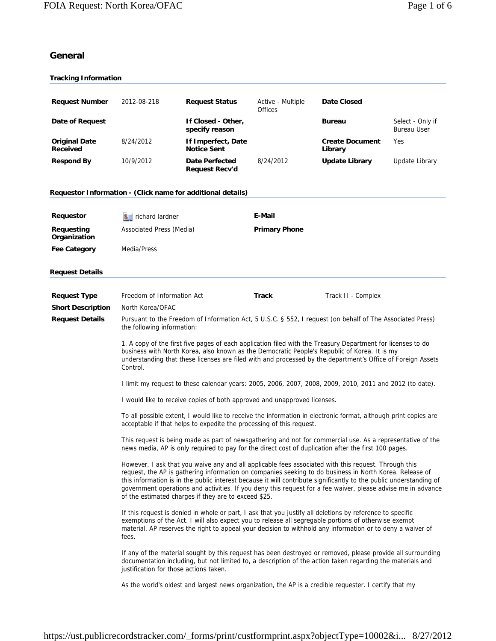# **General**

| <b>Tracking Information</b>                                 |                                                                                                                                                                                                                                                                                                                                                                                                                                                                                                               |                                                                          |                              |                                                                                                           |                                        |
|-------------------------------------------------------------|---------------------------------------------------------------------------------------------------------------------------------------------------------------------------------------------------------------------------------------------------------------------------------------------------------------------------------------------------------------------------------------------------------------------------------------------------------------------------------------------------------------|--------------------------------------------------------------------------|------------------------------|-----------------------------------------------------------------------------------------------------------|----------------------------------------|
|                                                             |                                                                                                                                                                                                                                                                                                                                                                                                                                                                                                               |                                                                          |                              |                                                                                                           |                                        |
| <b>Request Number</b>                                       | 2012-08-218                                                                                                                                                                                                                                                                                                                                                                                                                                                                                                   | <b>Request Status</b>                                                    | Active - Multiple<br>Offices | <b>Date Closed</b>                                                                                        |                                        |
| Date of Request                                             |                                                                                                                                                                                                                                                                                                                                                                                                                                                                                                               | If Closed - Other,<br>specify reason                                     |                              | <b>Bureau</b>                                                                                             | Select - Only if<br><b>Bureau User</b> |
| <b>Original Date</b><br><b>Received</b>                     | 8/24/2012                                                                                                                                                                                                                                                                                                                                                                                                                                                                                                     | If Imperfect, Date<br><b>Notice Sent</b>                                 |                              | <b>Create Document</b><br>Library                                                                         | Yes                                    |
| <b>Respond By</b>                                           | 10/9/2012                                                                                                                                                                                                                                                                                                                                                                                                                                                                                                     | <b>Date Perfected</b><br><b>Request Recv'd</b>                           | 8/24/2012                    | <b>Update Library</b>                                                                                     | Update Library                         |
| Requestor Information - (Click name for additional details) |                                                                                                                                                                                                                                                                                                                                                                                                                                                                                                               |                                                                          |                              |                                                                                                           |                                        |
| Requestor                                                   | $S =$ richard lardner                                                                                                                                                                                                                                                                                                                                                                                                                                                                                         |                                                                          | E-Mail                       |                                                                                                           |                                        |
| Requesting<br>Organization                                  | Associated Press (Media)                                                                                                                                                                                                                                                                                                                                                                                                                                                                                      |                                                                          | <b>Primary Phone</b>         |                                                                                                           |                                        |
| <b>Fee Category</b>                                         | Media/Press                                                                                                                                                                                                                                                                                                                                                                                                                                                                                                   |                                                                          |                              |                                                                                                           |                                        |
| <b>Request Details</b>                                      |                                                                                                                                                                                                                                                                                                                                                                                                                                                                                                               |                                                                          |                              |                                                                                                           |                                        |
| <b>Request Type</b>                                         | Freedom of Information Act                                                                                                                                                                                                                                                                                                                                                                                                                                                                                    |                                                                          | Track                        | Track II - Complex                                                                                        |                                        |
| <b>Short Description</b>                                    | North Korea/OFAC                                                                                                                                                                                                                                                                                                                                                                                                                                                                                              |                                                                          |                              |                                                                                                           |                                        |
| <b>Request Details</b>                                      | the following information:                                                                                                                                                                                                                                                                                                                                                                                                                                                                                    |                                                                          |                              | Pursuant to the Freedom of Information Act, 5 U.S.C. § 552, I request (on behalf of The Associated Press) |                                        |
|                                                             | 1. A copy of the first five pages of each application filed with the Treasury Department for licenses to do<br>business with North Korea, also known as the Democratic People's Republic of Korea. It is my<br>understanding that these licenses are filed with and processed by the department's Office of Foreign Assets<br>Control.                                                                                                                                                                        |                                                                          |                              |                                                                                                           |                                        |
|                                                             |                                                                                                                                                                                                                                                                                                                                                                                                                                                                                                               |                                                                          |                              | I limit my request to these calendar years: 2005, 2006, 2007, 2008, 2009, 2010, 2011 and 2012 (to date).  |                                        |
|                                                             |                                                                                                                                                                                                                                                                                                                                                                                                                                                                                                               | I would like to receive copies of both approved and unapproved licenses. |                              |                                                                                                           |                                        |
|                                                             | To all possible extent, I would like to receive the information in electronic format, although print copies are<br>acceptable if that helps to expedite the processing of this request.                                                                                                                                                                                                                                                                                                                       |                                                                          |                              |                                                                                                           |                                        |
|                                                             | This request is being made as part of newsgathering and not for commercial use. As a representative of the<br>news media, AP is only required to pay for the direct cost of duplication after the first 100 pages.                                                                                                                                                                                                                                                                                            |                                                                          |                              |                                                                                                           |                                        |
|                                                             | However, I ask that you waive any and all applicable fees associated with this request. Through this<br>request, the AP is gathering information on companies seeking to do business in North Korea. Release of<br>this information is in the public interest because it will contribute significantly to the public understanding of<br>government operations and activities. If you deny this request for a fee waiver, please advise me in advance<br>of the estimated charges if they are to exceed \$25. |                                                                          |                              |                                                                                                           |                                        |
|                                                             | If this request is denied in whole or part, I ask that you justify all deletions by reference to specific<br>exemptions of the Act. I will also expect you to release all segregable portions of otherwise exempt<br>material. AP reserves the right to appeal your decision to withhold any information or to deny a waiver of<br>fees.                                                                                                                                                                      |                                                                          |                              |                                                                                                           |                                        |
|                                                             | If any of the material sought by this request has been destroyed or removed, please provide all surrounding<br>documentation including, but not limited to, a description of the action taken regarding the materials and<br>justification for those actions taken.                                                                                                                                                                                                                                           |                                                                          |                              |                                                                                                           |                                        |
|                                                             |                                                                                                                                                                                                                                                                                                                                                                                                                                                                                                               |                                                                          |                              | As the world's oldest and largest news organization, the AP is a credible requester. I certify that my    |                                        |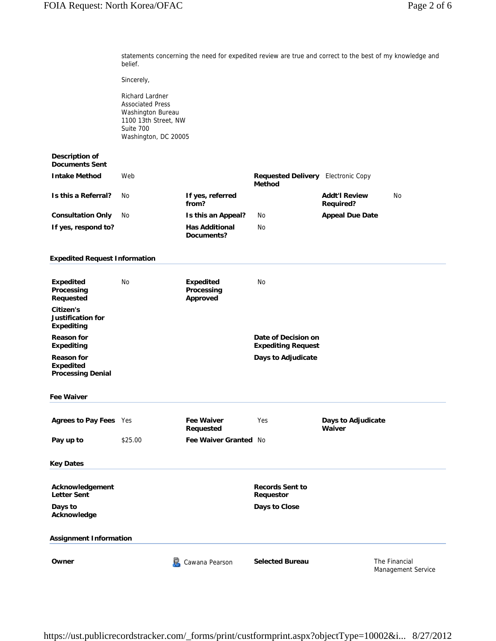statements concerning the need for expedited review are true and correct to the best of my knowledge and belief.

Sincerely,

Richard Lardner Associated Press Washington Bureau 1100 13th Street, NW Suite 700 Washington, DC 20005

# **Description of Documents Sent**

| <b>Intake Method</b>     | Web |                                     | <b>Requested Delivery</b> Electronic Copy<br>Method |                                   |    |
|--------------------------|-----|-------------------------------------|-----------------------------------------------------|-----------------------------------|----|
| Is this a Referral?      | No. | If yes, referred<br>from?           |                                                     | <b>Addt'l Review</b><br>Required? | No |
| <b>Consultation Only</b> | No. | Is this an Appeal?                  | No                                                  | <b>Appeal Due Date</b>            |    |
| If yes, respond to?      |     | <b>Has Additional</b><br>Documents? | N <sub>0</sub>                                      |                                   |    |

### **Expedited Request Information**

| <b>Expedited</b><br>Processing<br>Requested                | <b>No</b> | <b>Expedited</b><br>Processing<br>Approved | No                                               |
|------------------------------------------------------------|-----------|--------------------------------------------|--------------------------------------------------|
| Citizen's<br>Justification for<br>Expediting               |           |                                            |                                                  |
| <b>Reason for</b><br><b>Expediting</b>                     |           |                                            | Date of Decision on<br><b>Expediting Request</b> |
| <b>Reason for</b><br>Expedited<br><b>Processing Denial</b> |           |                                            | Days to Adjudicate                               |
| <b>Fee Waiver</b>                                          |           |                                            |                                                  |

| <b>Agrees to Pay Fees</b> Yes |         | <b>Fee Waiver</b><br>Reauested | Yes | Days to Adjudicate<br>Waiver |
|-------------------------------|---------|--------------------------------|-----|------------------------------|
| Pay up to                     | \$25.00 | <b>Fee Waiver Granted No</b>   |     |                              |

#### **Key Dates**

| Acknowledgement<br><b>Letter Sent</b> |                | <b>Records Sent to</b><br>Requestor |               |  |
|---------------------------------------|----------------|-------------------------------------|---------------|--|
| Days to<br>Acknowledge                |                | Days to Close                       |               |  |
| <b>Assignment Information</b>         |                |                                     |               |  |
| Owner                                 | Cawana Pearson | <b>Selected Bureau</b>              | The Financial |  |

Management Service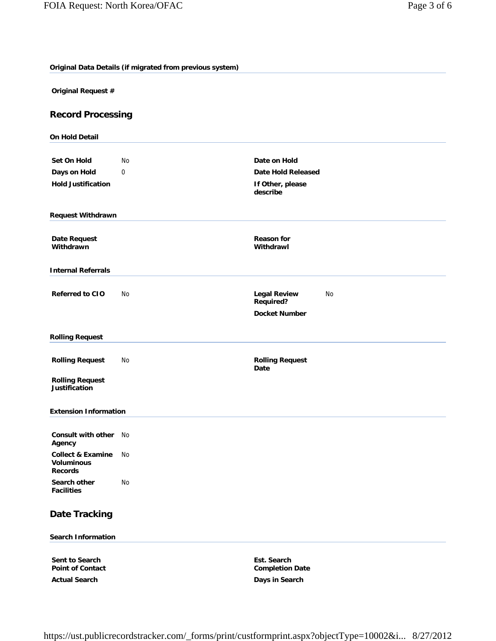**Original Data Details (if migrated from previous system)**

**Original Request #**

# **Record Processing**

| <b>On Hold Detail</b>                                               |    |                                               |  |  |
|---------------------------------------------------------------------|----|-----------------------------------------------|--|--|
|                                                                     |    |                                               |  |  |
| <b>Set On Hold</b>                                                  | No | Date on Hold                                  |  |  |
| Days on Hold<br><b>Hold Justification</b>                           | 0  | <b>Date Hold Released</b>                     |  |  |
|                                                                     |    | If Other, please<br>describe                  |  |  |
| <b>Request Withdrawn</b>                                            |    |                                               |  |  |
| <b>Date Request</b>                                                 |    | <b>Reason for</b>                             |  |  |
| Withdrawn                                                           |    | Withdrawl                                     |  |  |
| <b>Internal Referrals</b>                                           |    |                                               |  |  |
| <b>Referred to CIO</b>                                              | No | <b>Legal Review</b><br>No<br><b>Required?</b> |  |  |
|                                                                     |    | <b>Docket Number</b>                          |  |  |
| <b>Rolling Request</b>                                              |    |                                               |  |  |
| <b>Rolling Request</b>                                              | No | <b>Rolling Request</b><br>Date                |  |  |
| <b>Rolling Request</b><br><b>Justification</b>                      |    |                                               |  |  |
| <b>Extension Information</b>                                        |    |                                               |  |  |
| <b>Consult with other</b><br>Agency                                 | No |                                               |  |  |
| <b>Collect &amp; Examine</b><br><b>Voluminous</b><br><b>Records</b> | No |                                               |  |  |
| Search other<br><b>Facilities</b>                                   | No |                                               |  |  |
| <b>Date Tracking</b>                                                |    |                                               |  |  |
| <b>Search Information</b>                                           |    |                                               |  |  |
| Sent to Search<br><b>Point of Contact</b>                           |    | Est. Search<br><b>Completion Date</b>         |  |  |

**Actual Search Days in Search**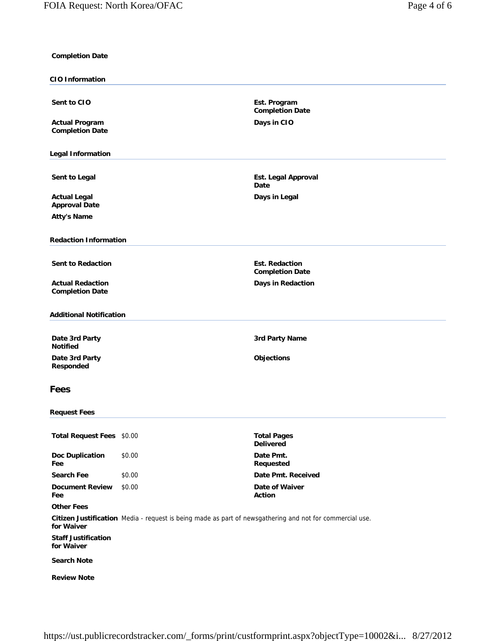| <b>Completion Date</b>                          |                                                                                                          |                                                 |
|-------------------------------------------------|----------------------------------------------------------------------------------------------------------|-------------------------------------------------|
| <b>CIO Information</b>                          |                                                                                                          |                                                 |
| Sent to CIO                                     |                                                                                                          | Est. Program<br><b>Completion Date</b>          |
| <b>Actual Program</b><br><b>Completion Date</b> |                                                                                                          | Days in CIO                                     |
| <b>Legal Information</b>                        |                                                                                                          |                                                 |
| Sent to Legal                                   |                                                                                                          | Est. Legal Approval<br>Date                     |
| <b>Actual Legal</b>                             |                                                                                                          | Days in Legal                                   |
| <b>Approval Date</b><br><b>Atty's Name</b>      |                                                                                                          |                                                 |
|                                                 |                                                                                                          |                                                 |
| <b>Redaction Information</b>                    |                                                                                                          |                                                 |
|                                                 |                                                                                                          |                                                 |
| <b>Sent to Redaction</b>                        |                                                                                                          | <b>Est. Redaction</b><br><b>Completion Date</b> |
| <b>Actual Redaction</b>                         |                                                                                                          | Days in Redaction                               |
| <b>Completion Date</b>                          |                                                                                                          |                                                 |
| <b>Additional Notification</b>                  |                                                                                                          |                                                 |
| Date 3rd Party<br><b>Notified</b>               |                                                                                                          | 3rd Party Name                                  |
| Date 3rd Party<br>Responded                     |                                                                                                          | <b>Objections</b>                               |
| <b>Fees</b>                                     |                                                                                                          |                                                 |
| <b>Request Fees</b>                             |                                                                                                          |                                                 |
| Total Request Fees \$0.00                       |                                                                                                          | <b>Total Pages</b><br><b>Delivered</b>          |
| <b>Doc Duplication</b><br>Fee                   | \$0.00                                                                                                   | Date Pmt.<br>Requested                          |
| <b>Search Fee</b>                               | \$0.00                                                                                                   | Date Pmt. Received                              |
| <b>Document Review</b>                          | \$0.00                                                                                                   | Date of Waiver                                  |
| Fee<br><b>Other Fees</b>                        |                                                                                                          | Action                                          |
|                                                 | Citizen Justification Media - request is being made as part of newsgathering and not for commercial use. |                                                 |
| for Waiver                                      |                                                                                                          |                                                 |
| <b>Staff Justification</b><br>for Waiver        |                                                                                                          |                                                 |
| <b>Search Note</b>                              |                                                                                                          |                                                 |
| <b>Review Note</b>                              |                                                                                                          |                                                 |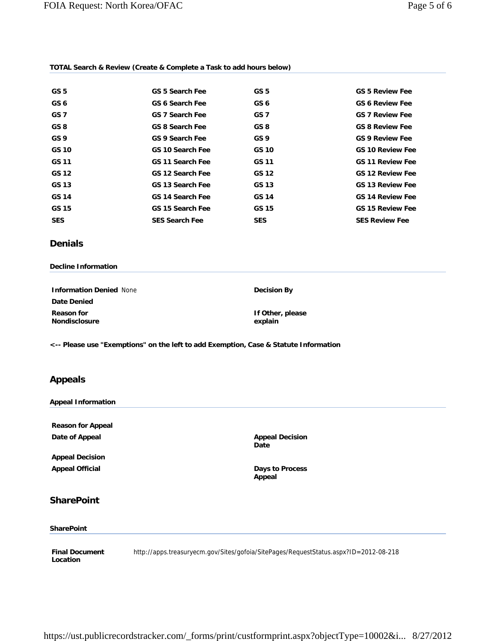## **TOTAL Search & Review (Create & Complete a Task to add hours below)**

| GS <sub>5</sub> | <b>GS 5 Search Fee</b>  | GS <sub>5</sub> | <b>GS 5 Review Fee</b>  |
|-----------------|-------------------------|-----------------|-------------------------|
| GS <sub>6</sub> | GS 6 Search Fee         | GS <sub>6</sub> | <b>GS 6 Review Fee</b>  |
| GS <sub>7</sub> | <b>GS 7 Search Fee</b>  | GS <sub>7</sub> | <b>GS 7 Review Fee</b>  |
| GS 8            | <b>GS 8 Search Fee</b>  | GS 8            | <b>GS 8 Review Fee</b>  |
| GS <sub>9</sub> | <b>GS 9 Search Fee</b>  | GS <sub>9</sub> | <b>GS 9 Review Fee</b>  |
| GS 10           | <b>GS 10 Search Fee</b> | GS 10           | <b>GS 10 Review Fee</b> |
| GS 11           | <b>GS 11 Search Fee</b> | GS 11           | <b>GS 11 Review Fee</b> |
| GS 12           | <b>GS 12 Search Fee</b> | GS 12           | <b>GS 12 Review Fee</b> |
| GS 13           | GS 13 Search Fee        | GS 13           | <b>GS 13 Review Fee</b> |
| GS 14           | <b>GS 14 Search Fee</b> | GS 14           | <b>GS 14 Review Fee</b> |
| GS 15           | GS 15 Search Fee        | GS 15           | <b>GS 15 Review Fee</b> |
| <b>SES</b>      | <b>SES Search Fee</b>   | <b>SES</b>      | <b>SES Review Fee</b>   |

# **Denials**

#### **Decline Information**

| <b>Information Denied None</b> | Decision By                 |
|--------------------------------|-----------------------------|
| <b>Date Denied</b>             |                             |
| Reason for<br>Nondisclosure    | If Other, please<br>explain |

**<-- Please use "Exemptions" on the left to add Exemption, Case & Statute Information**

# **Appeals**

## **Appeal Information**

**Reason for Appeal Date of Appeal Appeal Appeal Decision Appeal Decision** 

**Appeal Decision Appeal Official Case 2018 19 and 2018 19 and 2018 19 and 2019 19 and 2019 19 and 2019 19 and 2019 19 and 2019** 

**Date**

**Appeal**

# **SharePoint**

## **SharePoint**

**Final Document Location** http://apps.treasuryecm.gov/Sites/gofoia/SitePages/RequestStatus.aspx?ID=2012-08-218